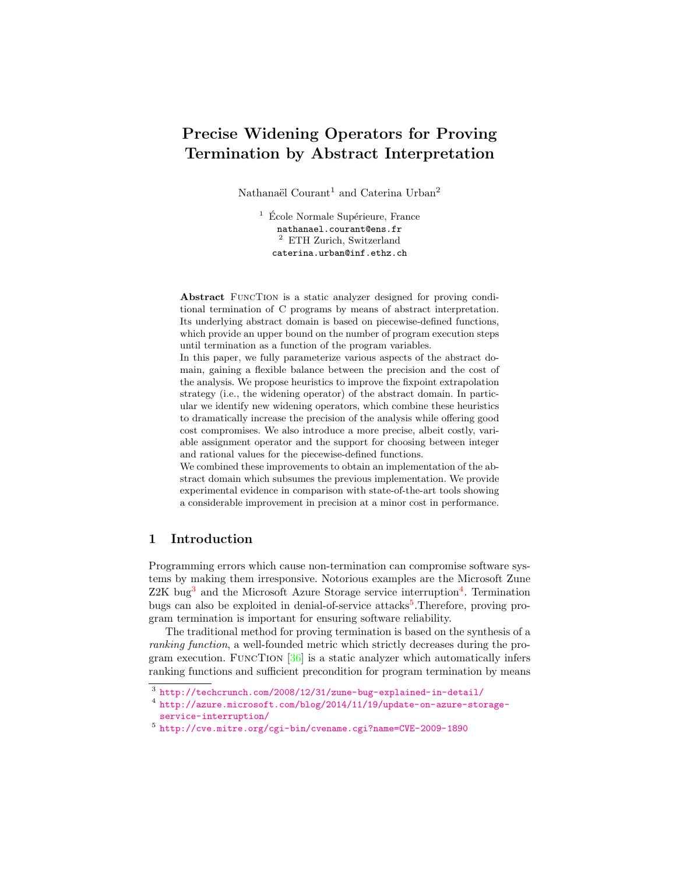# Precise Widening Operators for Proving Termination by Abstract Interpretation

Nathanaël Courant<sup>1</sup> and Caterina Urban<sup>2</sup>

 $1 \text{ École Normale Supérieure, France}$ nathanael.courant@ens.fr <sup>2</sup> ETH Zurich, Switzerland caterina.urban@inf.ethz.ch

Abstract FuncTion is a static analyzer designed for proving conditional termination of C programs by means of abstract interpretation. Its underlying abstract domain is based on piecewise-defined functions, which provide an upper bound on the number of program execution steps until termination as a function of the program variables.

In this paper, we fully parameterize various aspects of the abstract domain, gaining a flexible balance between the precision and the cost of the analysis. We propose heuristics to improve the fixpoint extrapolation strategy (i.e., the widening operator) of the abstract domain. In particular we identify new widening operators, which combine these heuristics to dramatically increase the precision of the analysis while offering good cost compromises. We also introduce a more precise, albeit costly, variable assignment operator and the support for choosing between integer and rational values for the piecewise-defined functions.

We combined these improvements to obtain an implementation of the abstract domain which subsumes the previous implementation. We provide experimental evidence in comparison with state-of-the-art tools showing a considerable improvement in precision at a minor cost in performance.

# 1 Introduction

Programming errors which cause non-termination can compromise software systems by making them irresponsive. Notorious examples are the Microsoft Zune  $Z2K$  bug<sup>[3](#page-0-0)</sup> and the Microsoft Azure Storage service interruption<sup>[4](#page-0-1)</sup>. Termination bugs can also be exploited in denial-of-service attacks<sup>[5](#page-0-2)</sup>. Therefore, proving program termination is important for ensuring software reliability.

The traditional method for proving termination is based on the synthesis of a ranking function, a well-founded metric which strictly decreases during the program execution. FuncTion [\[36\]](#page-16-0) is a static analyzer which automatically infers ranking functions and sufficient precondition for program termination by means

<span id="page-0-0"></span> $^3$  <http://techcrunch.com/2008/12/31/zune-bug-explained-in-detail/>

<span id="page-0-1"></span><sup>4</sup> [http://azure.microsoft.com/blog/2014/11/19/update-on-azure-storage](http://azure.microsoft.com/blog/2014/11/19/update-on-azure-storage-service-interruption/)[service-interruption/](http://azure.microsoft.com/blog/2014/11/19/update-on-azure-storage-service-interruption/)

<span id="page-0-2"></span><sup>5</sup> <http://cve.mitre.org/cgi-bin/cvename.cgi?name=CVE-2009-1890>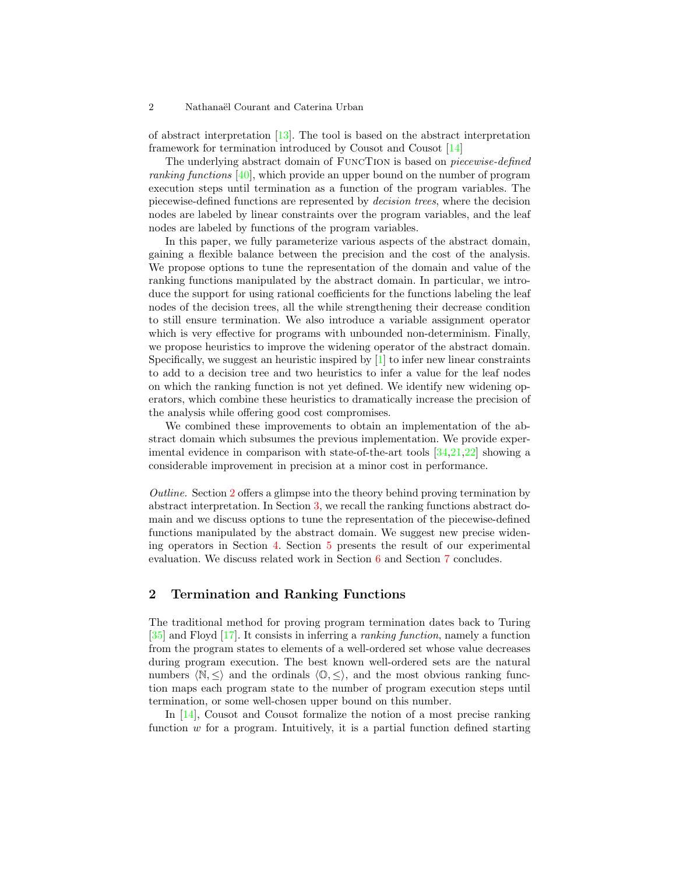of abstract interpretation [\[13\]](#page-15-0). The tool is based on the abstract interpretation framework for termination introduced by Cousot and Cousot [\[14\]](#page-15-1)

The underlying abstract domain of FuncTion is based on piecewise-defined ranking functions [\[40\]](#page-16-1), which provide an upper bound on the number of program execution steps until termination as a function of the program variables. The piecewise-defined functions are represented by decision trees, where the decision nodes are labeled by linear constraints over the program variables, and the leaf nodes are labeled by functions of the program variables.

In this paper, we fully parameterize various aspects of the abstract domain, gaining a flexible balance between the precision and the cost of the analysis. We propose options to tune the representation of the domain and value of the ranking functions manipulated by the abstract domain. In particular, we introduce the support for using rational coefficients for the functions labeling the leaf nodes of the decision trees, all the while strengthening their decrease condition to still ensure termination. We also introduce a variable assignment operator which is very effective for programs with unbounded non-determinism. Finally, we propose heuristics to improve the widening operator of the abstract domain. Specifically, we suggest an heuristic inspired by  $[1]$  to infer new linear constraints to add to a decision tree and two heuristics to infer a value for the leaf nodes on which the ranking function is not yet defined. We identify new widening operators, which combine these heuristics to dramatically increase the precision of the analysis while offering good cost compromises.

We combined these improvements to obtain an implementation of the abstract domain which subsumes the previous implementation. We provide experimental evidence in comparison with state-of-the-art tools [\[34](#page-16-2)[,21,](#page-15-3)[22\]](#page-15-4) showing a considerable improvement in precision at a minor cost in performance.

Outline. Section [2](#page-1-0) offers a glimpse into the theory behind proving termination by abstract interpretation. In Section [3,](#page-2-0) we recall the ranking functions abstract domain and we discuss options to tune the representation of the piecewise-defined functions manipulated by the abstract domain. We suggest new precise widening operators in Section [4.](#page-5-0) Section [5](#page-10-0) presents the result of our experimental evaluation. We discuss related work in Section [6](#page-13-0) and Section [7](#page-14-0) concludes.

# <span id="page-1-0"></span>2 Termination and Ranking Functions

The traditional method for proving program termination dates back to Turing [\[35\]](#page-16-3) and Floyd [\[17\]](#page-15-5). It consists in inferring a ranking function, namely a function from the program states to elements of a well-ordered set whose value decreases during program execution. The best known well-ordered sets are the natural numbers  $\langle \mathbb{N}, \langle \rangle$  and the ordinals  $\langle \mathbb{O}, \langle \rangle$ , and the most obvious ranking function maps each program state to the number of program execution steps until termination, or some well-chosen upper bound on this number.

In [\[14\]](#page-15-1), Cousot and Cousot formalize the notion of a most precise ranking function  $w$  for a program. Intuitively, it is a partial function defined starting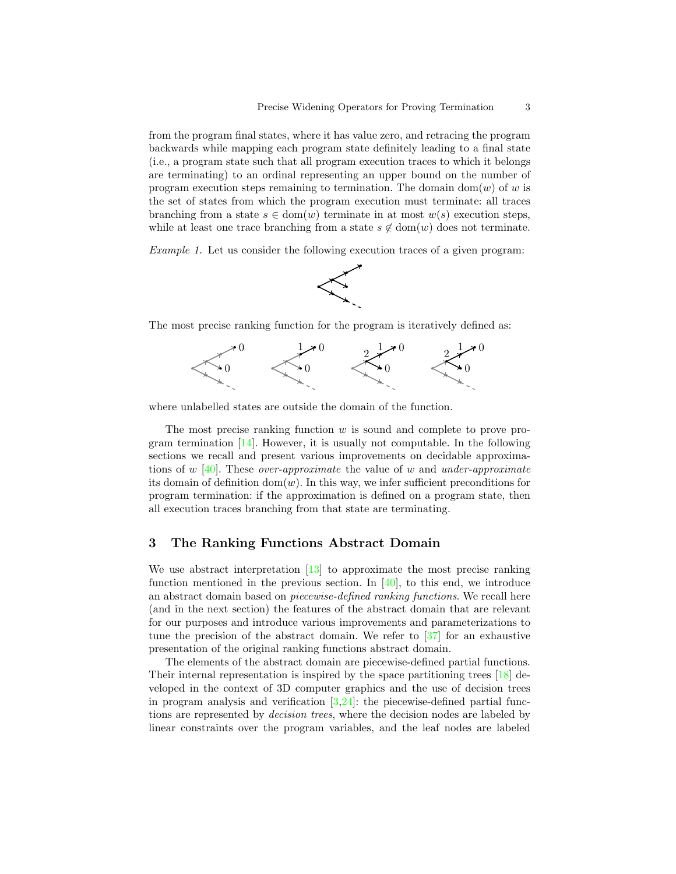from the program final states, where it has value zero, and retracing the program backwards while mapping each program state definitely leading to a final state (i.e., a program state such that all program execution traces to which it belongs are terminating) to an ordinal representing an upper bound on the number of program execution steps remaining to termination. The domain dom(w) of w is the set of states from which the program execution must terminate: all traces branching from a state  $s \in \text{dom}(w)$  terminate in at most  $w(s)$  execution steps, while at least one trace branching from a state  $s \notin \text{dom}(w)$  does not terminate.

Example 1. Let us consider the following execution traces of a given program:



The most precise ranking function for the program is iteratively defined as:



where unlabelled states are outside the domain of the function.

The most precise ranking function w is sound and complete to prove program termination  $[14]$ . However, it is usually not computable. In the following sections we recall and present various improvements on decidable approxima-tions of w [\[40\]](#page-16-1). These *over-approximate* the value of w and *under-approximate* its domain of definition  $dom(w)$ . In this way, we infer sufficient preconditions for program termination: if the approximation is defined on a program state, then all execution traces branching from that state are terminating.

### <span id="page-2-0"></span>3 The Ranking Functions Abstract Domain

We use abstract interpretation  $\begin{bmatrix} 13 \end{bmatrix}$  to approximate the most precise ranking function mentioned in the previous section. In  $[40]$ , to this end, we introduce an abstract domain based on piecewise-defined ranking functions. We recall here (and in the next section) the features of the abstract domain that are relevant for our purposes and introduce various improvements and parameterizations to tune the precision of the abstract domain. We refer to [\[37\]](#page-16-4) for an exhaustive presentation of the original ranking functions abstract domain.

The elements of the abstract domain are piecewise-defined partial functions. Their internal representation is inspired by the space partitioning trees [\[18\]](#page-15-6) developed in the context of 3D computer graphics and the use of decision trees in program analysis and verification  $[3,24]$  $[3,24]$ : the piecewise-defined partial functions are represented by *decision trees*, where the decision nodes are labeled by linear constraints over the program variables, and the leaf nodes are labeled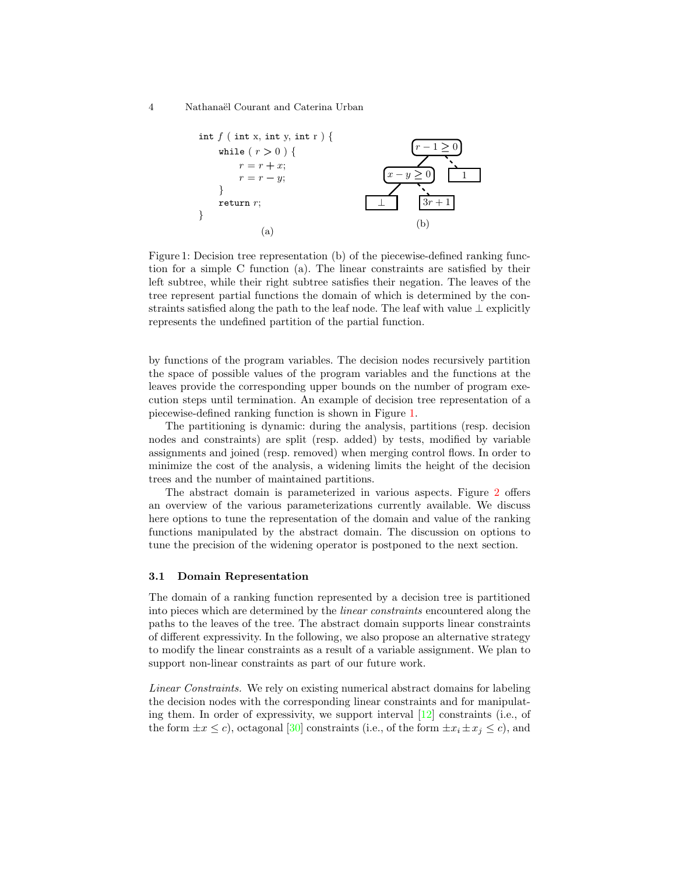<span id="page-3-0"></span>4 Nathana¨el Courant and Caterina Urban

<span id="page-3-1"></span>

Figure 1: Decision tree representation (b) of the piecewise-defined ranking function for a simple C function (a). The linear constraints are satisfied by their left subtree, while their right subtree satisfies their negation. The leaves of the tree represent partial functions the domain of which is determined by the constraints satisfied along the path to the leaf node. The leaf with value  $\perp$  explicitly represents the undefined partition of the partial function.

by functions of the program variables. The decision nodes recursively partition the space of possible values of the program variables and the functions at the leaves provide the corresponding upper bounds on the number of program execution steps until termination. An example of decision tree representation of a piecewise-defined ranking function is shown in Figure [1.](#page-3-0)

The partitioning is dynamic: during the analysis, partitions (resp. decision nodes and constraints) are split (resp. added) by tests, modified by variable assignments and joined (resp. removed) when merging control flows. In order to minimize the cost of the analysis, a widening limits the height of the decision trees and the number of maintained partitions.

The abstract domain is parameterized in various aspects. Figure [2](#page-4-0) offers an overview of the various parameterizations currently available. We discuss here options to tune the representation of the domain and value of the ranking functions manipulated by the abstract domain. The discussion on options to tune the precision of the widening operator is postponed to the next section.

#### <span id="page-3-2"></span>3.1 Domain Representation

The domain of a ranking function represented by a decision tree is partitioned into pieces which are determined by the linear constraints encountered along the paths to the leaves of the tree. The abstract domain supports linear constraints of different expressivity. In the following, we also propose an alternative strategy to modify the linear constraints as a result of a variable assignment. We plan to support non-linear constraints as part of our future work.

Linear Constraints. We rely on existing numerical abstract domains for labeling the decision nodes with the corresponding linear constraints and for manipulating them. In order of expressivity, we support interval [\[12\]](#page-15-8) constraints (i.e., of the form  $\pm x \leq c$ , octagonal [\[30\]](#page-16-6) constraints (i.e., of the form  $\pm x_i \pm x_j \leq c$ ), and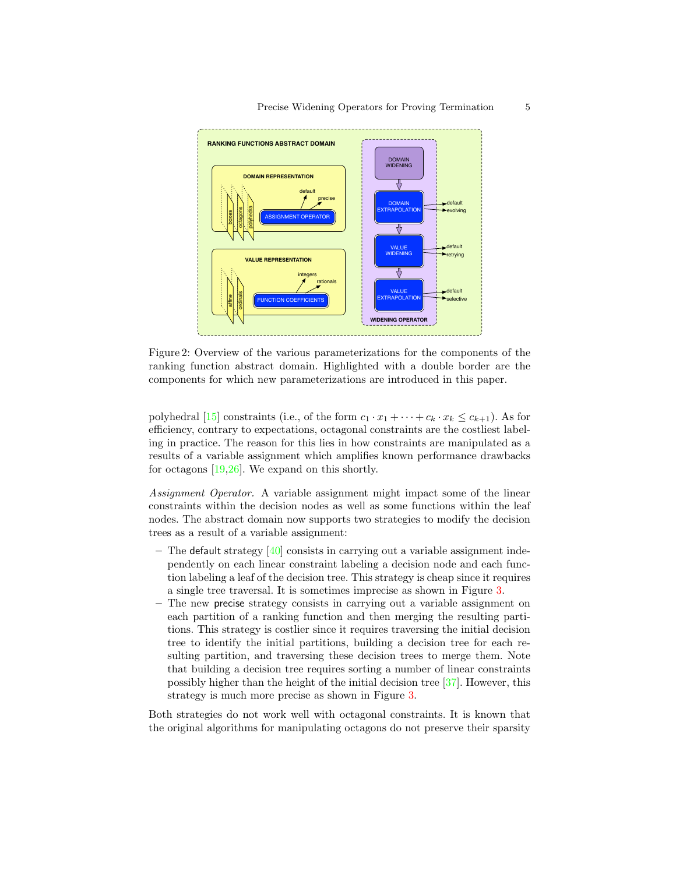<span id="page-4-0"></span>

Figure 2: Overview of the various parameterizations for the components of the ranking function abstract domain. Highlighted with a double border are the components for which new parameterizations are introduced in this paper.

polyhedral [\[15\]](#page-15-9) constraints (i.e., of the form  $c_1 \cdot x_1 + \cdots + c_k \cdot x_k \leq c_{k+1}$ ). As for efficiency, contrary to expectations, octagonal constraints are the costliest labeling in practice. The reason for this lies in how constraints are manipulated as a results of a variable assignment which amplifies known performance drawbacks for octagons [\[19,](#page-15-10)[26\]](#page-16-7). We expand on this shortly.

Assignment Operator. A variable assignment might impact some of the linear constraints within the decision nodes as well as some functions within the leaf nodes. The abstract domain now supports two strategies to modify the decision trees as a result of a variable assignment:

- The default strategy  $[40]$  consists in carrying out a variable assignment independently on each linear constraint labeling a decision node and each function labeling a leaf of the decision tree. This strategy is cheap since it requires a single tree traversal. It is sometimes imprecise as shown in Figure [3.](#page-5-1)
- The new precise strategy consists in carrying out a variable assignment on each partition of a ranking function and then merging the resulting partitions. This strategy is costlier since it requires traversing the initial decision tree to identify the initial partitions, building a decision tree for each resulting partition, and traversing these decision trees to merge them. Note that building a decision tree requires sorting a number of linear constraints possibly higher than the height of the initial decision tree [\[37\]](#page-16-4). However, this strategy is much more precise as shown in Figure [3.](#page-5-1)

Both strategies do not work well with octagonal constraints. It is known that the original algorithms for manipulating octagons do not preserve their sparsity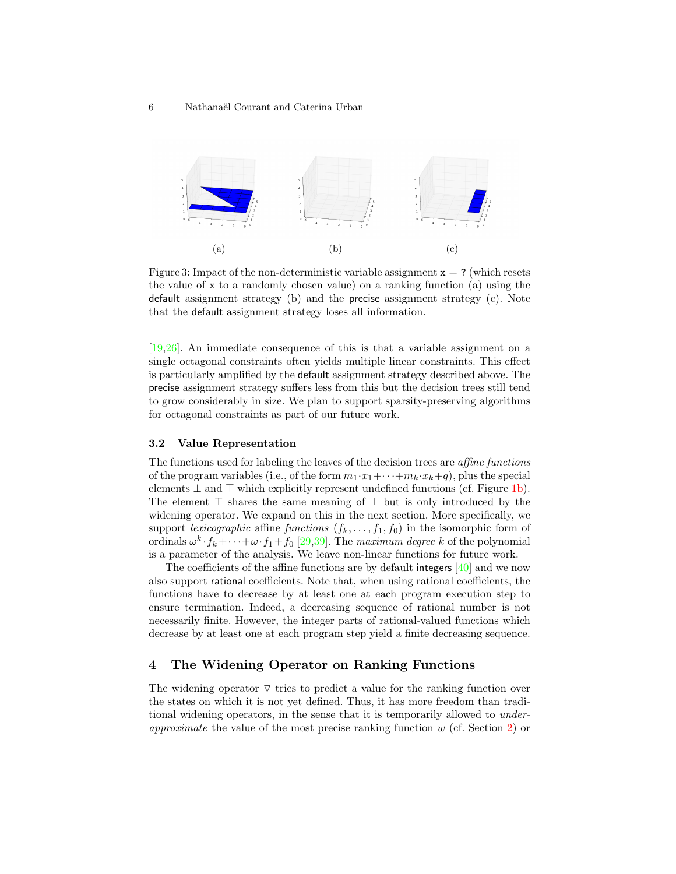<span id="page-5-1"></span>

Figure 3: Impact of the non-deterministic variable assignment  $x = ?$  (which resets the value of  $x$  to a randomly chosen value) on a ranking function (a) using the default assignment strategy (b) and the precise assignment strategy (c). Note that the default assignment strategy loses all information.

[\[19](#page-15-10)[,26\]](#page-16-7). An immediate consequence of this is that a variable assignment on a single octagonal constraints often yields multiple linear constraints. This effect is particularly amplified by the default assignment strategy described above. The precise assignment strategy suffers less from this but the decision trees still tend to grow considerably in size. We plan to support sparsity-preserving algorithms for octagonal constraints as part of our future work.

#### <span id="page-5-2"></span>3.2 Value Representation

The functions used for labeling the leaves of the decision trees are affine functions of the program variables (i.e., of the form  $m_1 \cdot x_1 + \cdots + m_k \cdot x_k + q$ ), plus the special elements  $\perp$  and  $\perp$  which explicitly represent undefined functions (cf. Figure [1b\)](#page-3-1). The element  $\top$  shares the same meaning of  $\bot$  but is only introduced by the widening operator. We expand on this in the next section. More specifically, we support lexicographic affine functions  $(f_k, \ldots, f_1, f_0)$  in the isomorphic form of ordinals  $\omega^k \cdot f_k + \cdots + \omega \cdot f_1 + f_0$  [\[29,](#page-16-8)[39\]](#page-16-9). The maximum degree k of the polynomial is a parameter of the analysis. We leave non-linear functions for future work.

The coefficients of the affine functions are by default integers [\[40\]](#page-16-1) and we now also support rational coefficients. Note that, when using rational coefficients, the functions have to decrease by at least one at each program execution step to ensure termination. Indeed, a decreasing sequence of rational number is not necessarily finite. However, the integer parts of rational-valued functions which decrease by at least one at each program step yield a finite decreasing sequence.

# <span id="page-5-0"></span>4 The Widening Operator on Ranking Functions

The widening operator  $\nabla$  tries to predict a value for the ranking function over the states on which it is not yet defined. Thus, it has more freedom than traditional widening operators, in the sense that it is temporarily allowed to underapproximate the value of the most precise ranking function w (cf. Section [2\)](#page-1-0) or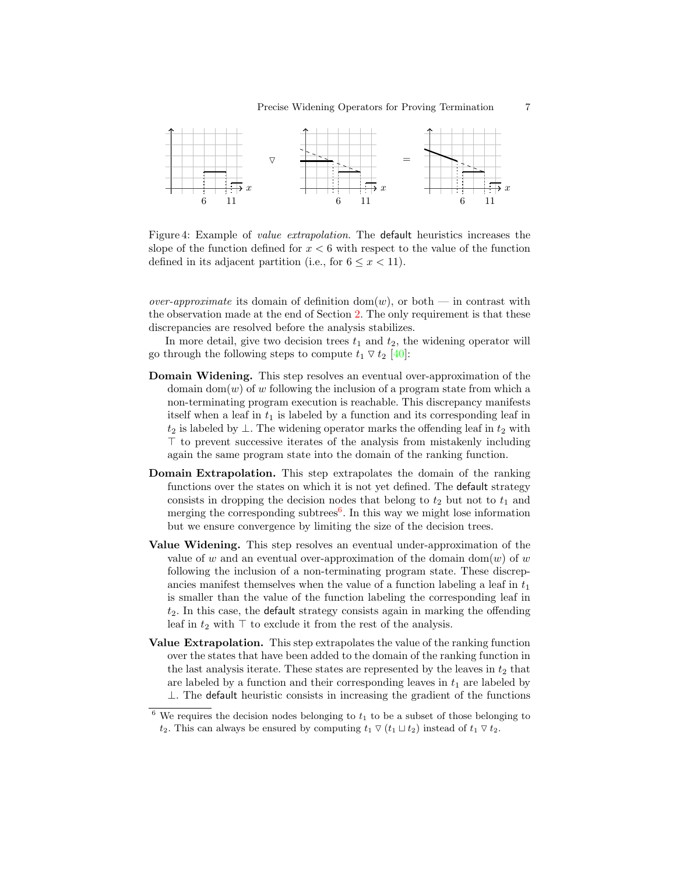<span id="page-6-1"></span>

Figure 4: Example of value extrapolation. The default heuristics increases the slope of the function defined for  $x < 6$  with respect to the value of the function defined in its adjacent partition (i.e., for  $6 \leq x < 11$ ).

*over-approximate* its domain of definition  $dom(w)$ , or both — in contrast with the observation made at the end of Section [2.](#page-1-0) The only requirement is that these discrepancies are resolved before the analysis stabilizes.

In more detail, give two decision trees  $t_1$  and  $t_2$ , the widening operator will go through the following steps to compute  $t_1 \nabla t_2$  [\[40\]](#page-16-1):

- Domain Widening. This step resolves an eventual over-approximation of the domain dom(w) of w following the inclusion of a program state from which a non-terminating program execution is reachable. This discrepancy manifests itself when a leaf in  $t_1$  is labeled by a function and its corresponding leaf in  $t_2$  is labeled by ⊥. The widening operator marks the offending leaf in  $t_2$  with  $\top$  to prevent successive iterates of the analysis from mistakenly including again the same program state into the domain of the ranking function.
- Domain Extrapolation. This step extrapolates the domain of the ranking functions over the states on which it is not yet defined. The default strategy consists in dropping the decision nodes that belong to  $t_2$  but not to  $t_1$  and merging the corresponding subtrees<sup>[6](#page-6-0)</sup>. In this way we might lose information but we ensure convergence by limiting the size of the decision trees.
- Value Widening. This step resolves an eventual under-approximation of the value of w and an eventual over-approximation of the domain dom(w) of w following the inclusion of a non-terminating program state. These discrepancies manifest themselves when the value of a function labeling a leaf in  $t_1$ is smaller than the value of the function labeling the corresponding leaf in  $t<sub>2</sub>$ . In this case, the default strategy consists again in marking the offending leaf in  $t_2$  with  $\top$  to exclude it from the rest of the analysis.
- Value Extrapolation. This step extrapolates the value of the ranking function over the states that have been added to the domain of the ranking function in the last analysis iterate. These states are represented by the leaves in  $t_2$  that are labeled by a function and their corresponding leaves in  $t_1$  are labeled by  $\perp$ . The default heuristic consists in increasing the gradient of the functions

<span id="page-6-0"></span> $6$  We requires the decision nodes belonging to  $t_1$  to be a subset of those belonging to  $t_2$ . This can always be ensured by computing  $t_1 \nabla (t_1 \nabla t_2)$  instead of  $t_1 \nabla t_2$ .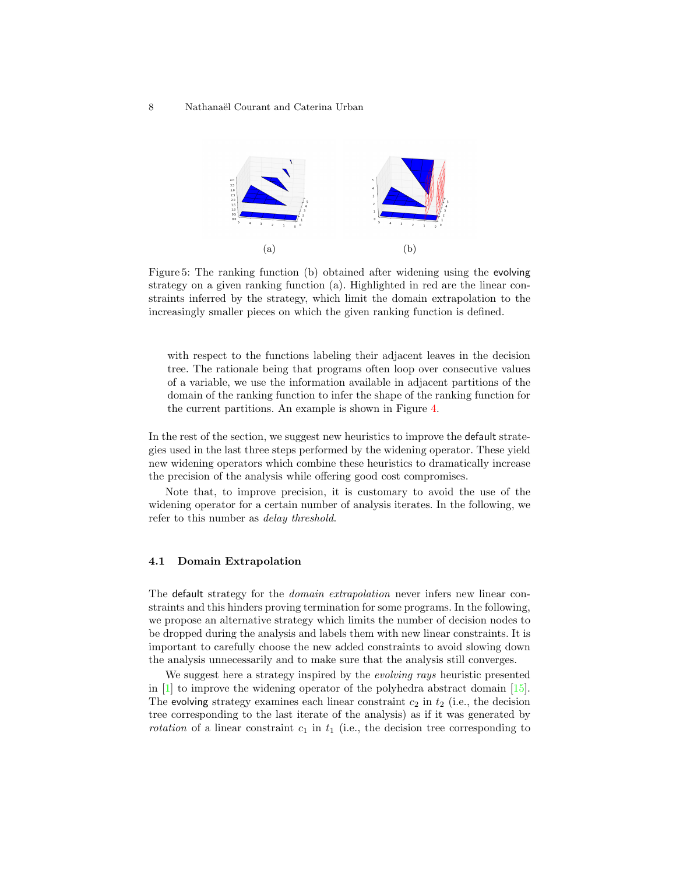<span id="page-7-1"></span><span id="page-7-0"></span>

Figure 5: The ranking function (b) obtained after widening using the evolving strategy on a given ranking function (a). Highlighted in red are the linear constraints inferred by the strategy, which limit the domain extrapolation to the increasingly smaller pieces on which the given ranking function is defined.

with respect to the functions labeling their adjacent leaves in the decision tree. The rationale being that programs often loop over consecutive values of a variable, we use the information available in adjacent partitions of the domain of the ranking function to infer the shape of the ranking function for the current partitions. An example is shown in Figure [4.](#page-6-1)

In the rest of the section, we suggest new heuristics to improve the default strategies used in the last three steps performed by the widening operator. These yield new widening operators which combine these heuristics to dramatically increase the precision of the analysis while offering good cost compromises.

Note that, to improve precision, it is customary to avoid the use of the widening operator for a certain number of analysis iterates. In the following, we refer to this number as delay threshold.

#### <span id="page-7-2"></span>4.1 Domain Extrapolation

The default strategy for the *domain extrapolation* never infers new linear constraints and this hinders proving termination for some programs. In the following, we propose an alternative strategy which limits the number of decision nodes to be dropped during the analysis and labels them with new linear constraints. It is important to carefully choose the new added constraints to avoid slowing down the analysis unnecessarily and to make sure that the analysis still converges.

We suggest here a strategy inspired by the *evolving rays* heuristic presented in [\[1\]](#page-15-2) to improve the widening operator of the polyhedra abstract domain [\[15\]](#page-15-9). The evolving strategy examines each linear constraint  $c_2$  in  $t_2$  (i.e., the decision tree corresponding to the last iterate of the analysis) as if it was generated by *rotation* of a linear constraint  $c_1$  in  $t_1$  (i.e., the decision tree corresponding to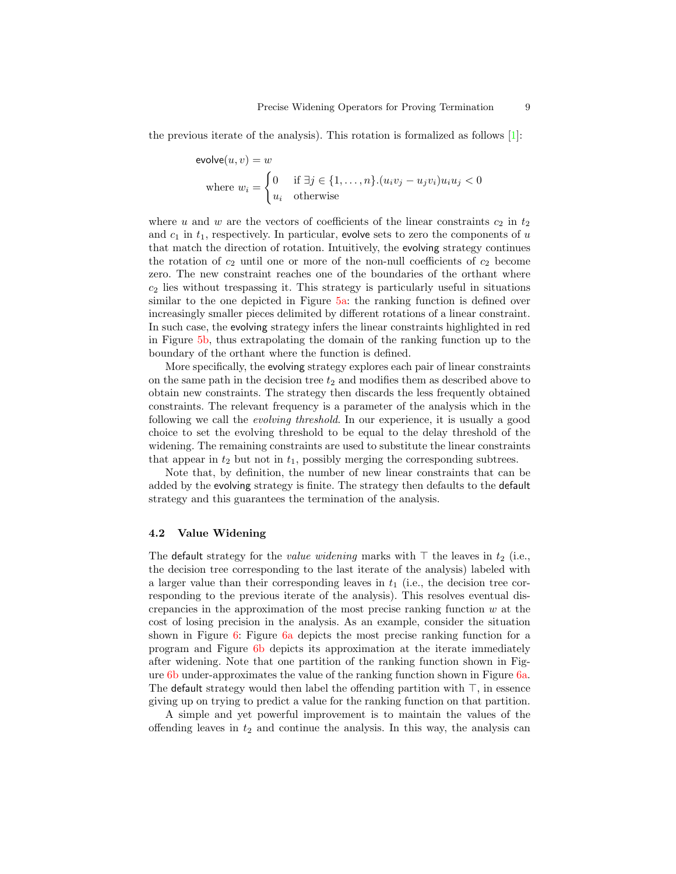the previous iterate of the analysis). This rotation is formalized as follows  $[1]$ :

$$
\text{evolve}(u, v) = w
$$
\n
$$
\text{where } w_i = \begin{cases} 0 & \text{if } \exists j \in \{1, \dots, n\}. (u_i v_j - u_j v_i) u_i u_j < 0 \\ u_i & \text{otherwise} \end{cases}
$$

where u and w are the vectors of coefficients of the linear constraints  $c_2$  in  $t_2$ and  $c_1$  in  $t_1$ , respectively. In particular, evolve sets to zero the components of u that match the direction of rotation. Intuitively, the evolving strategy continues the rotation of  $c_2$  until one or more of the non-null coefficients of  $c_2$  become zero. The new constraint reaches one of the boundaries of the orthant where  $c_2$  lies without trespassing it. This strategy is particularly useful in situations similar to the one depicted in Figure [5a:](#page-7-0) the ranking function is defined over increasingly smaller pieces delimited by different rotations of a linear constraint. In such case, the evolving strategy infers the linear constraints highlighted in red in Figure [5b,](#page-7-1) thus extrapolating the domain of the ranking function up to the boundary of the orthant where the function is defined.

More specifically, the evolving strategy explores each pair of linear constraints on the same path in the decision tree  $t_2$  and modifies them as described above to obtain new constraints. The strategy then discards the less frequently obtained constraints. The relevant frequency is a parameter of the analysis which in the following we call the evolving threshold. In our experience, it is usually a good choice to set the evolving threshold to be equal to the delay threshold of the widening. The remaining constraints are used to substitute the linear constraints that appear in  $t_2$  but not in  $t_1$ , possibly merging the corresponding subtrees.

Note that, by definition, the number of new linear constraints that can be added by the evolving strategy is finite. The strategy then defaults to the default strategy and this guarantees the termination of the analysis.

#### 4.2 Value Widening

The default strategy for the *value widening* marks with  $\top$  the leaves in  $t_2$  (i.e., the decision tree corresponding to the last iterate of the analysis) labeled with a larger value than their corresponding leaves in  $t_1$  (i.e., the decision tree corresponding to the previous iterate of the analysis). This resolves eventual discrepancies in the approximation of the most precise ranking function  $w$  at the cost of losing precision in the analysis. As an example, consider the situation shown in Figure [6:](#page-9-0) Figure [6a](#page-9-1) depicts the most precise ranking function for a program and Figure [6b](#page-9-2) depicts its approximation at the iterate immediately after widening. Note that one partition of the ranking function shown in Figure [6b](#page-9-2) under-approximates the value of the ranking function shown in Figure [6a.](#page-9-1) The default strategy would then label the offending partition with  $\top$ , in essence giving up on trying to predict a value for the ranking function on that partition.

A simple and yet powerful improvement is to maintain the values of the offending leaves in  $t_2$  and continue the analysis. In this way, the analysis can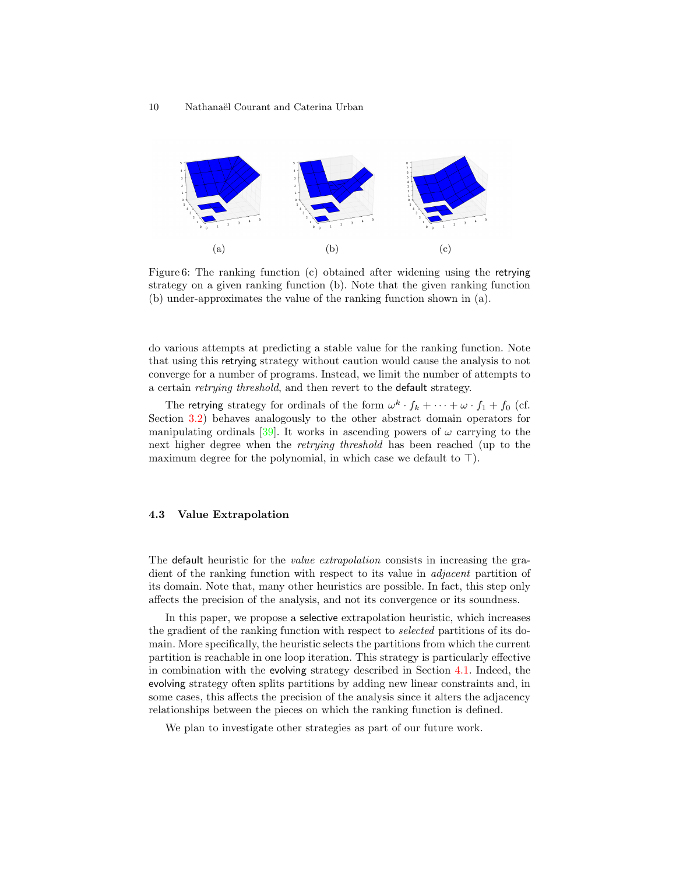<span id="page-9-1"></span><span id="page-9-0"></span>

<span id="page-9-2"></span>Figure 6: The ranking function (c) obtained after widening using the retrying strategy on a given ranking function (b). Note that the given ranking function (b) under-approximates the value of the ranking function shown in (a).

do various attempts at predicting a stable value for the ranking function. Note that using this retrying strategy without caution would cause the analysis to not converge for a number of programs. Instead, we limit the number of attempts to a certain retrying threshold, and then revert to the default strategy.

The retrying strategy for ordinals of the form  $\omega^k \cdot f_k + \cdots + \omega \cdot f_1 + f_0$  (cf. Section [3.2\)](#page-5-2) behaves analogously to the other abstract domain operators for manipulating ordinals [\[39\]](#page-16-9). It works in ascending powers of  $\omega$  carrying to the next higher degree when the *retrying threshold* has been reached (up to the maximum degree for the polynomial, in which case we default to  $\top$ ).

#### 4.3 Value Extrapolation

The default heuristic for the *value extrapolation* consists in increasing the gradient of the ranking function with respect to its value in adjacent partition of its domain. Note that, many other heuristics are possible. In fact, this step only affects the precision of the analysis, and not its convergence or its soundness.

In this paper, we propose a selective extrapolation heuristic, which increases the gradient of the ranking function with respect to selected partitions of its domain. More specifically, the heuristic selects the partitions from which the current partition is reachable in one loop iteration. This strategy is particularly effective in combination with the evolving strategy described in Section [4.1.](#page-7-2) Indeed, the evolving strategy often splits partitions by adding new linear constraints and, in some cases, this affects the precision of the analysis since it alters the adjacency relationships between the pieces on which the ranking function is defined.

We plan to investigate other strategies as part of our future work.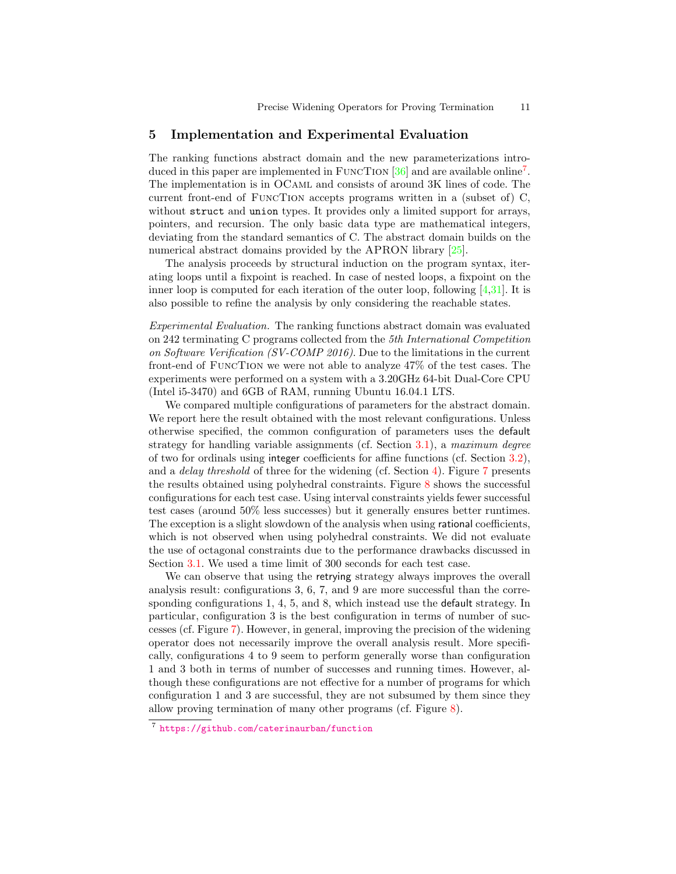### <span id="page-10-0"></span>5 Implementation and Experimental Evaluation

The ranking functions abstract domain and the new parameterizations introduced in this paper are implemented in FUNCTION  $[36]$  and are available online<sup>[7](#page-10-1)</sup>. The implementation is in OCaml and consists of around 3K lines of code. The current front-end of FuncTion accepts programs written in a (subset of) C, without struct and union types. It provides only a limited support for arrays, pointers, and recursion. The only basic data type are mathematical integers, deviating from the standard semantics of C. The abstract domain builds on the numerical abstract domains provided by the APRON library [\[25\]](#page-16-10).

The analysis proceeds by structural induction on the program syntax, iterating loops until a fixpoint is reached. In case of nested loops, a fixpoint on the inner loop is computed for each iteration of the outer loop, following  $[4,31]$  $[4,31]$ . It is also possible to refine the analysis by only considering the reachable states.

Experimental Evaluation. The ranking functions abstract domain was evaluated on 242 terminating C programs collected from the 5th International Competition on Software Verification (SV-COMP 2016). Due to the limitations in the current front-end of FuncTion we were not able to analyze 47% of the test cases. The experiments were performed on a system with a 3.20GHz 64-bit Dual-Core CPU (Intel i5-3470) and 6GB of RAM, running Ubuntu 16.04.1 LTS.

We compared multiple configurations of parameters for the abstract domain. We report here the result obtained with the most relevant configurations. Unless otherwise specified, the common configuration of parameters uses the default strategy for handling variable assignments (cf. Section [3.1\)](#page-3-2), a maximum degree of two for ordinals using integer coefficients for affine functions (cf. Section [3.2\)](#page-5-2), and a delay threshold of three for the widening (cf. Section [4\)](#page-5-0). Figure [7](#page-11-0) presents the results obtained using polyhedral constraints. Figure  $8$  shows the successful configurations for each test case. Using interval constraints yields fewer successful test cases (around 50% less successes) but it generally ensures better runtimes. The exception is a slight slowdown of the analysis when using rational coefficients, which is not observed when using polyhedral constraints. We did not evaluate the use of octagonal constraints due to the performance drawbacks discussed in Section [3.1.](#page-3-2) We used a time limit of 300 seconds for each test case.

We can observe that using the retrying strategy always improves the overall analysis result: configurations 3, 6, 7, and 9 are more successful than the corresponding configurations 1, 4, 5, and 8, which instead use the default strategy. In particular, configuration 3 is the best configuration in terms of number of successes (cf. Figure [7\)](#page-11-0). However, in general, improving the precision of the widening operator does not necessarily improve the overall analysis result. More specifically, configurations 4 to 9 seem to perform generally worse than configuration 1 and 3 both in terms of number of successes and running times. However, although these configurations are not effective for a number of programs for which configuration 1 and 3 are successful, they are not subsumed by them since they allow proving termination of many other programs (cf. Figure [8\)](#page-12-0).

<span id="page-10-1"></span><sup>7</sup> <https://github.com/caterinaurban/function>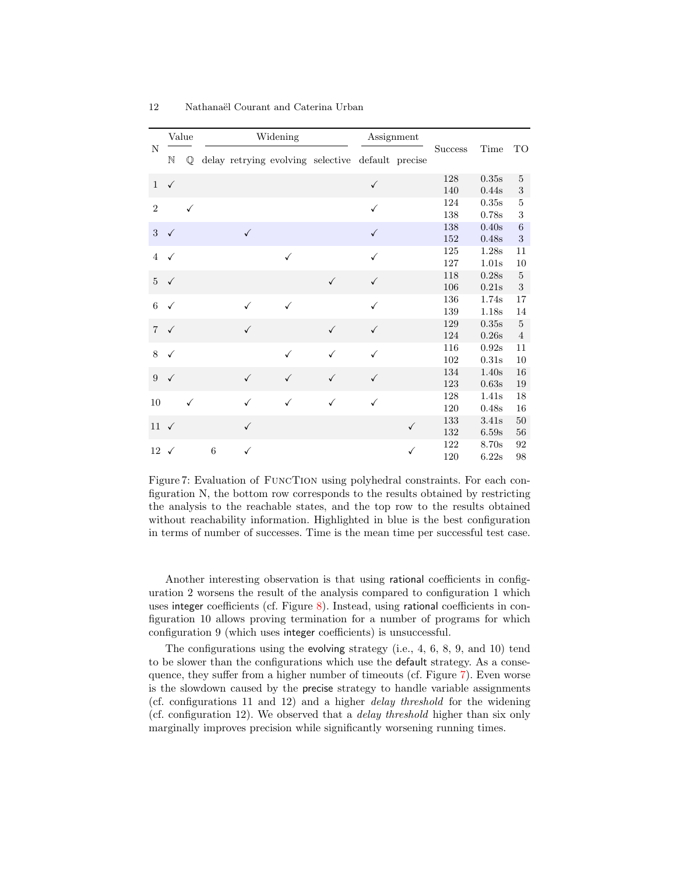<span id="page-11-0"></span>

| N                   | Value        |              |       |              | Widening     |                                                   | Assignment   |   |                |       |                |
|---------------------|--------------|--------------|-------|--------------|--------------|---------------------------------------------------|--------------|---|----------------|-------|----------------|
|                     | $\mathbb N$  | Q            |       |              |              | delay retrying evolving selective default precise |              |   | <b>Success</b> | Time  | TO             |
| $\mathbf{1}$        | $\checkmark$ |              |       |              |              |                                                   | $\checkmark$ |   | 128            | 0.35s | $\overline{5}$ |
|                     |              |              |       |              |              |                                                   |              |   | 140            | 0.44s | $\,3$          |
| $\overline{2}$      |              | $\checkmark$ |       |              |              |                                                   | $\checkmark$ |   | 124            | 0.35s | $\bf 5$        |
|                     |              |              |       |              |              |                                                   |              |   | 138            | 0.78s | $\,3$          |
| 3                   | $\checkmark$ |              |       | $\checkmark$ |              |                                                   | ✓            |   | 138            | 0.40s | $\,6$          |
|                     |              |              |       |              |              |                                                   |              |   | 152            | 0.48s | $\sqrt{3}$     |
| $\overline{4}$      | ✓            |              |       |              | $\checkmark$ |                                                   |              |   | 125            | 1.28s | 11             |
|                     |              |              |       |              |              |                                                   |              |   | 127            | 1.01s | 10             |
| 5 <sup>5</sup>      | $\checkmark$ |              |       |              |              | $\checkmark$                                      | $\checkmark$ |   | 118            | 0.28s | $\bf 5$        |
|                     |              |              |       |              |              |                                                   |              |   | 106            | 0.21s | $\sqrt{3}$     |
| 6                   | $\checkmark$ |              |       | $\checkmark$ | $\checkmark$ |                                                   | ✓            |   | 136            | 1.74s | 17             |
|                     |              |              |       |              |              |                                                   |              |   | 139            | 1.18s | 14             |
| $\overline{7}$      | $\checkmark$ |              |       | ✓            |              | $\checkmark$                                      | $\checkmark$ |   | 129            | 0.35s | $\bf 5$        |
|                     |              |              |       |              |              |                                                   |              |   | 124            | 0.26s | $\overline{4}$ |
| 8                   | ✓            |              |       |              | $\checkmark$ | ✓                                                 | ✓            |   | 116            | 0.92s | 11             |
|                     |              |              |       |              |              |                                                   |              |   | 102            | 0.31s | 10             |
| 9                   | $\checkmark$ |              |       | $\checkmark$ | $\checkmark$ | ✓                                                 | √            |   | 134            | 1.40s | 16             |
|                     |              |              |       |              |              |                                                   |              |   | 123            | 0.63s | 19             |
| 10                  |              | $\checkmark$ |       | ✓            | ✓            | ✓                                                 | ✓            |   | 128            | 1.41s | 18             |
|                     |              |              |       |              |              |                                                   |              |   | 120            | 0.48s | 16             |
| $11\;\; \checkmark$ |              |              |       | $\checkmark$ |              |                                                   |              | ✓ | 133            | 3.41s | 50             |
|                     |              |              |       |              |              |                                                   |              |   | 132            | 6.59s | 56             |
| $12 \checkmark$     |              |              | $\,6$ | $\checkmark$ |              |                                                   |              | ✓ | 122            | 8.70s | 92             |
|                     |              |              |       |              |              |                                                   |              |   | 120            | 6.22s | 98             |

Figure 7: Evaluation of FuncTion using polyhedral constraints. For each configuration N, the bottom row corresponds to the results obtained by restricting the analysis to the reachable states, and the top row to the results obtained without reachability information. Highlighted in blue is the best configuration in terms of number of successes. Time is the mean time per successful test case.

Another interesting observation is that using rational coefficients in configuration 2 worsens the result of the analysis compared to configuration 1 which uses integer coefficients (cf. Figure [8\)](#page-12-0). Instead, using rational coefficients in configuration 10 allows proving termination for a number of programs for which configuration 9 (which uses integer coefficients) is unsuccessful.

The configurations using the evolving strategy (i.e., 4, 6, 8, 9, and 10) tend to be slower than the configurations which use the default strategy. As a consequence, they suffer from a higher number of timeouts (cf. Figure [7\)](#page-11-0). Even worse is the slowdown caused by the precise strategy to handle variable assignments (cf. configurations 11 and 12) and a higher delay threshold for the widening (cf. configuration 12). We observed that a delay threshold higher than six only marginally improves precision while significantly worsening running times.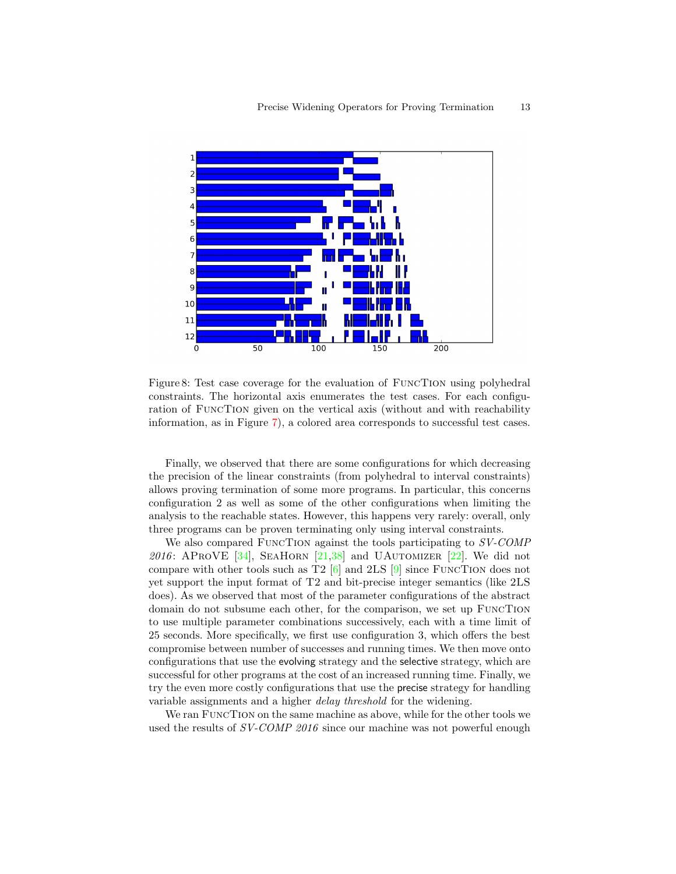<span id="page-12-0"></span>

Figure 8: Test case coverage for the evaluation of FuncTion using polyhedral constraints. The horizontal axis enumerates the test cases. For each configuration of FuncTion given on the vertical axis (without and with reachability information, as in Figure [7\)](#page-11-0), a colored area corresponds to successful test cases.

Finally, we observed that there are some configurations for which decreasing the precision of the linear constraints (from polyhedral to interval constraints) allows proving termination of some more programs. In particular, this concerns configuration 2 as well as some of the other configurations when limiting the analysis to the reachable states. However, this happens very rarely: overall, only three programs can be proven terminating only using interval constraints.

We also compared FUNCTION against the tools participating to  $SVCOMP$ 2016: APROVE [\[34\]](#page-16-2), SEAHORN [\[21,](#page-15-3)[38\]](#page-16-12) and UAUTOMIZER [\[22\]](#page-15-4). We did not compare with other tools such as T2  $[6]$  and 2LS  $[9]$  since FUNCTION does not yet support the input format of T2 and bit-precise integer semantics (like 2LS does). As we observed that most of the parameter configurations of the abstract domain do not subsume each other, for the comparison, we set up FuncTion to use multiple parameter combinations successively, each with a time limit of 25 seconds. More specifically, we first use configuration 3, which offers the best compromise between number of successes and running times. We then move onto configurations that use the evolving strategy and the selective strategy, which are successful for other programs at the cost of an increased running time. Finally, we try the even more costly configurations that use the precise strategy for handling variable assignments and a higher *delay threshold* for the widening.

We ran FuncTion on the same machine as above, while for the other tools we used the results of SV-COMP 2016 since our machine was not powerful enough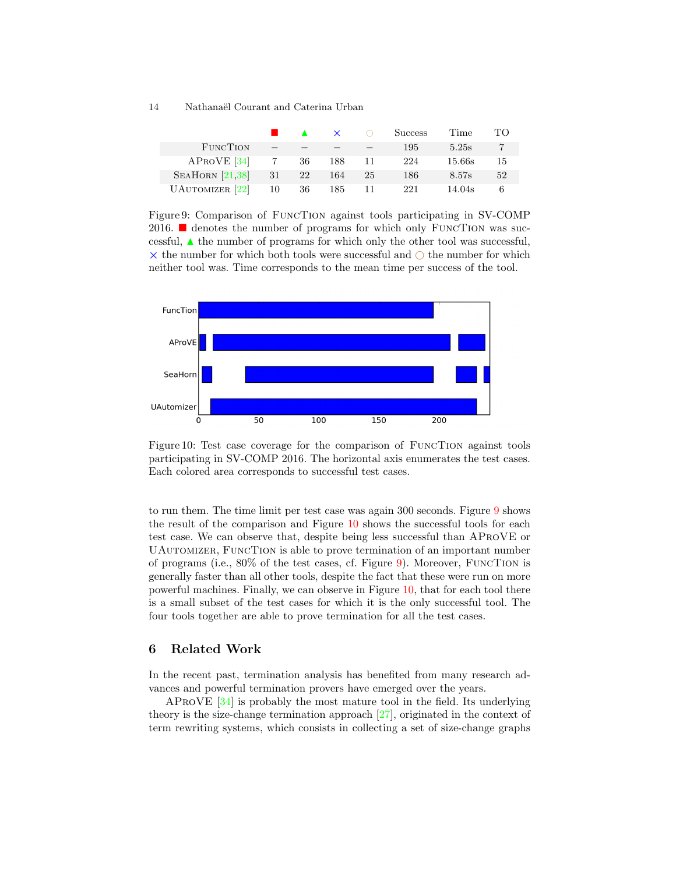<span id="page-13-1"></span>

|                            |                 |      | $\mathbf{x}$ | ( ) | <b>Success</b> | Time   | TО |
|----------------------------|-----------------|------|--------------|-----|----------------|--------|----|
| FUNCTION                   | $-$             |      |              |     | 195            | 5.25s  | 7  |
| APROVE [34]                | $7\overline{7}$ | - 36 | 188          | -11 | 224            | 15.66s | 15 |
| SEAHORN $[21,38]$          | 31              | 22   | 164          | 25  | 186            | 8.57s  | 52 |
| UAUTOMIZER <sup>[22]</sup> | 10              | 36   | 185          | 11  | 221            | 14.04s | 6  |

Figure 9: Comparison of FuncTion against tools participating in SV-COMP 2016.  $\blacksquare$  denotes the number of programs for which only FUNCTION was successful,  $\triangle$  the number of programs for which only the other tool was successful,  $\times$  the number for which both tools were successful and  $\bigcirc$  the number for which neither tool was. Time corresponds to the mean time per success of the tool.

<span id="page-13-2"></span>

Figure 10: Test case coverage for the comparison of FuncTion against tools participating in SV-COMP 2016. The horizontal axis enumerates the test cases. Each colored area corresponds to successful test cases.

to run them. The time limit per test case was again 300 seconds. Figure [9](#page-13-1) shows the result of the comparison and Figure [10](#page-13-2) shows the successful tools for each test case. We can observe that, despite being less successful than AProVE or UAutomizer, FuncTion is able to prove termination of an important number of programs (i.e., 80% of the test cases, cf. Figure [9\)](#page-13-1). Moreover, FuncTion is generally faster than all other tools, despite the fact that these were run on more powerful machines. Finally, we can observe in Figure [10,](#page-13-2) that for each tool there is a small subset of the test cases for which it is the only successful tool. The four tools together are able to prove termination for all the test cases.

# <span id="page-13-0"></span>6 Related Work

In the recent past, termination analysis has benefited from many research advances and powerful termination provers have emerged over the years.

AProVE [\[34\]](#page-16-2) is probably the most mature tool in the field. Its underlying theory is the size-change termination approach [\[27\]](#page-16-13), originated in the context of term rewriting systems, which consists in collecting a set of size-change graphs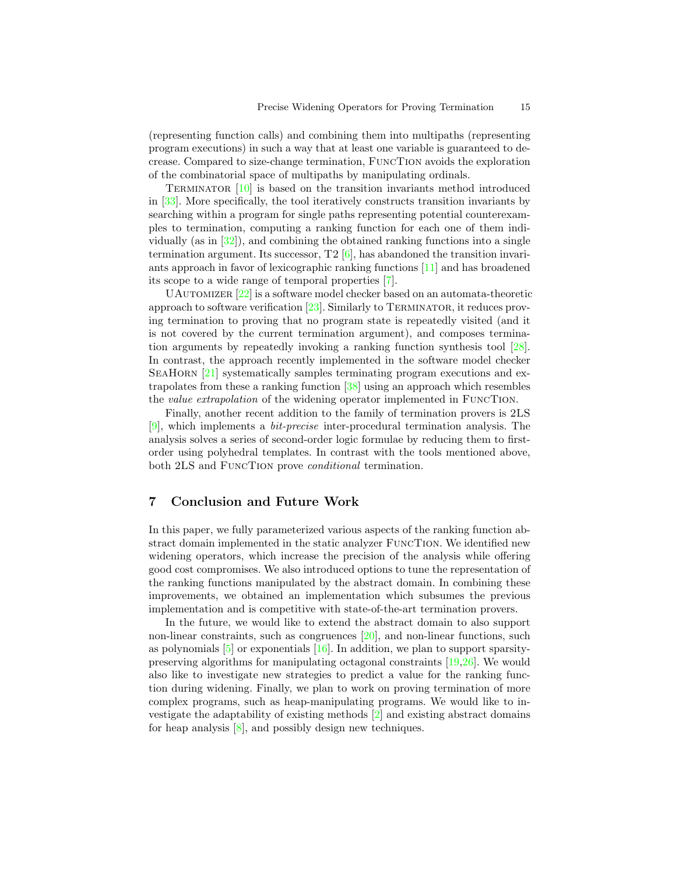(representing function calls) and combining them into multipaths (representing program executions) in such a way that at least one variable is guaranteed to decrease. Compared to size-change termination, FuncTion avoids the exploration of the combinatorial space of multipaths by manipulating ordinals.

Terminator [\[10\]](#page-15-14) is based on the transition invariants method introduced in [\[33\]](#page-16-14). More specifically, the tool iteratively constructs transition invariants by searching within a program for single paths representing potential counterexamples to termination, computing a ranking function for each one of them individually (as in  $[32]$ ), and combining the obtained ranking functions into a single termination argument. Its successor,  $T2 \times 6$ , has abandoned the transition invariants approach in favor of lexicographic ranking functions [\[11\]](#page-15-15) and has broadened its scope to a wide range of temporal properties [\[7\]](#page-15-16).

UAUTOMIZER  $[22]$  is a software model checker based on an automata-theoretic approach to software verification  $[23]$ . Similarly to TERMINATOR, it reduces proving termination to proving that no program state is repeatedly visited (and it is not covered by the current termination argument), and composes termination arguments by repeatedly invoking a ranking function synthesis tool [\[28\]](#page-16-17). In contrast, the approach recently implemented in the software model checker SEAHORN [\[21\]](#page-15-3) systematically samples terminating program executions and extrapolates from these a ranking function [\[38\]](#page-16-12) using an approach which resembles the value extrapolation of the widening operator implemented in FuncTion.

Finally, another recent addition to the family of termination provers is 2LS [\[9\]](#page-15-13), which implements a bit-precise inter-procedural termination analysis. The analysis solves a series of second-order logic formulae by reducing them to firstorder using polyhedral templates. In contrast with the tools mentioned above, both 2LS and FuncTion prove conditional termination.

# <span id="page-14-0"></span>7 Conclusion and Future Work

In this paper, we fully parameterized various aspects of the ranking function abstract domain implemented in the static analyzer FuncTion. We identified new widening operators, which increase the precision of the analysis while offering good cost compromises. We also introduced options to tune the representation of the ranking functions manipulated by the abstract domain. In combining these improvements, we obtained an implementation which subsumes the previous implementation and is competitive with state-of-the-art termination provers.

In the future, we would like to extend the abstract domain to also support non-linear constraints, such as congruences [\[20\]](#page-15-17), and non-linear functions, such as polynomials  $[5]$  or exponentials  $[16]$ . In addition, we plan to support sparsitypreserving algorithms for manipulating octagonal constraints [\[19,](#page-15-10)[26\]](#page-16-7). We would also like to investigate new strategies to predict a value for the ranking function during widening. Finally, we plan to work on proving termination of more complex programs, such as heap-manipulating programs. We would like to investigate the adaptability of existing methods [\[2\]](#page-15-20) and existing abstract domains for heap analysis [\[8\]](#page-15-21), and possibly design new techniques.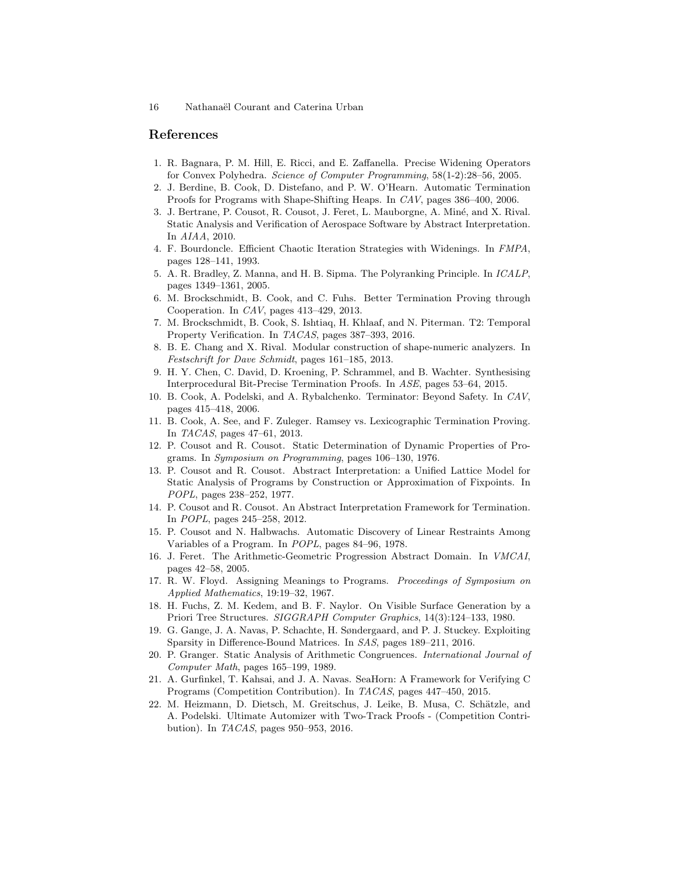## References

- <span id="page-15-2"></span>1. R. Bagnara, P. M. Hill, E. Ricci, and E. Zaffanella. Precise Widening Operators for Convex Polyhedra. Science of Computer Programming, 58(1-2):28–56, 2005.
- <span id="page-15-20"></span>2. J. Berdine, B. Cook, D. Distefano, and P. W. O'Hearn. Automatic Termination Proofs for Programs with Shape-Shifting Heaps. In CAV, pages 386–400, 2006.
- <span id="page-15-7"></span>3. J. Bertrane, P. Cousot, R. Cousot, J. Feret, L. Mauborgne, A. Miné, and X. Rival. Static Analysis and Verification of Aerospace Software by Abstract Interpretation. In AIAA, 2010.
- <span id="page-15-11"></span>4. F. Bourdoncle. Efficient Chaotic Iteration Strategies with Widenings. In FMPA, pages 128–141, 1993.
- <span id="page-15-18"></span>5. A. R. Bradley, Z. Manna, and H. B. Sipma. The Polyranking Principle. In ICALP, pages 1349–1361, 2005.
- <span id="page-15-12"></span>6. M. Brockschmidt, B. Cook, and C. Fuhs. Better Termination Proving through Cooperation. In CAV, pages 413–429, 2013.
- <span id="page-15-16"></span>7. M. Brockschmidt, B. Cook, S. Ishtiaq, H. Khlaaf, and N. Piterman. T2: Temporal Property Verification. In TACAS, pages 387–393, 2016.
- <span id="page-15-21"></span>8. B. E. Chang and X. Rival. Modular construction of shape-numeric analyzers. In Festschrift for Dave Schmidt, pages 161–185, 2013.
- <span id="page-15-13"></span>9. H. Y. Chen, C. David, D. Kroening, P. Schrammel, and B. Wachter. Synthesising Interprocedural Bit-Precise Termination Proofs. In ASE, pages 53–64, 2015.
- <span id="page-15-14"></span>10. B. Cook, A. Podelski, and A. Rybalchenko. Terminator: Beyond Safety. In CAV, pages 415–418, 2006.
- <span id="page-15-15"></span>11. B. Cook, A. See, and F. Zuleger. Ramsey vs. Lexicographic Termination Proving. In TACAS, pages 47–61, 2013.
- <span id="page-15-8"></span>12. P. Cousot and R. Cousot. Static Determination of Dynamic Properties of Programs. In Symposium on Programming, pages 106–130, 1976.
- <span id="page-15-0"></span>13. P. Cousot and R. Cousot. Abstract Interpretation: a Unified Lattice Model for Static Analysis of Programs by Construction or Approximation of Fixpoints. In POPL, pages 238–252, 1977.
- <span id="page-15-1"></span>14. P. Cousot and R. Cousot. An Abstract Interpretation Framework for Termination. In POPL, pages 245–258, 2012.
- <span id="page-15-9"></span>15. P. Cousot and N. Halbwachs. Automatic Discovery of Linear Restraints Among Variables of a Program. In POPL, pages 84–96, 1978.
- <span id="page-15-19"></span>16. J. Feret. The Arithmetic-Geometric Progression Abstract Domain. In VMCAI, pages 42–58, 2005.
- <span id="page-15-5"></span>17. R. W. Floyd. Assigning Meanings to Programs. Proceedings of Symposium on Applied Mathematics, 19:19–32, 1967.
- <span id="page-15-6"></span>18. H. Fuchs, Z. M. Kedem, and B. F. Naylor. On Visible Surface Generation by a Priori Tree Structures. SIGGRAPH Computer Graphics, 14(3):124–133, 1980.
- <span id="page-15-10"></span>19. G. Gange, J. A. Navas, P. Schachte, H. Søndergaard, and P. J. Stuckey. Exploiting Sparsity in Difference-Bound Matrices. In SAS, pages 189–211, 2016.
- <span id="page-15-17"></span>20. P. Granger. Static Analysis of Arithmetic Congruences. International Journal of Computer Math, pages 165–199, 1989.
- <span id="page-15-3"></span>21. A. Gurfinkel, T. Kahsai, and J. A. Navas. SeaHorn: A Framework for Verifying C Programs (Competition Contribution). In TACAS, pages 447–450, 2015.
- <span id="page-15-4"></span>22. M. Heizmann, D. Dietsch, M. Greitschus, J. Leike, B. Musa, C. Schätzle, and A. Podelski. Ultimate Automizer with Two-Track Proofs - (Competition Contribution). In TACAS, pages 950–953, 2016.